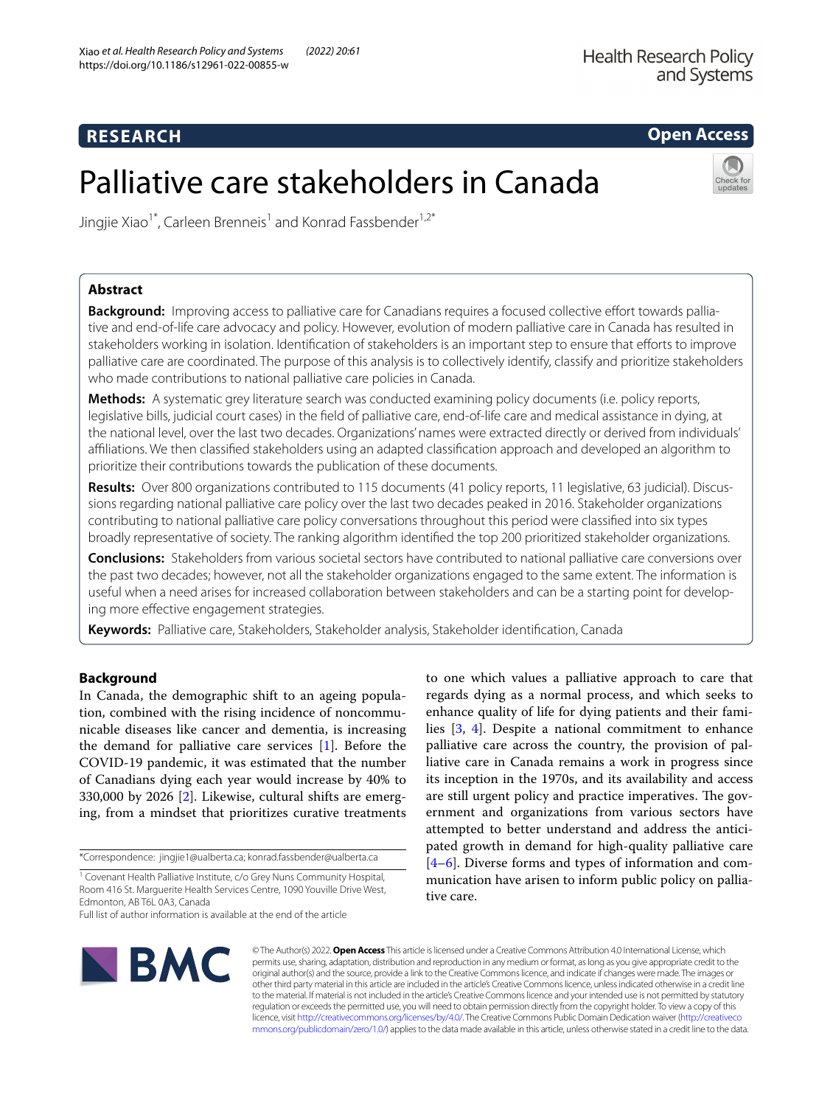# **RESEARCH**

# **Open Access**

# Palliative care stakeholders in Canada



Jingjie Xiao<sup>1\*</sup>, Carleen Brenneis<sup>1</sup> and Konrad Fassbender<sup>1,2\*</sup>

# **Abstract**

**Background:** Improving access to palliative care for Canadians requires a focused collective efort towards palliative and end-of-life care advocacy and policy. However, evolution of modern palliative care in Canada has resulted in stakeholders working in isolation. Identifcation of stakeholders is an important step to ensure that eforts to improve palliative care are coordinated. The purpose of this analysis is to collectively identify, classify and prioritize stakeholders who made contributions to national palliative care policies in Canada.

**Methods:** A systematic grey literature search was conducted examining policy documents (i.e. policy reports, legislative bills, judicial court cases) in the feld of palliative care, end-of-life care and medical assistance in dying, at the national level, over the last two decades. Organizations' names were extracted directly or derived from individuals' afliations. We then classifed stakeholders using an adapted classifcation approach and developed an algorithm to prioritize their contributions towards the publication of these documents.

**Results:** Over 800 organizations contributed to 115 documents (41 policy reports, 11 legislative, 63 judicial). Discussions regarding national palliative care policy over the last two decades peaked in 2016. Stakeholder organizations contributing to national palliative care policy conversations throughout this period were classifed into six types broadly representative of society. The ranking algorithm identifed the top 200 prioritized stakeholder organizations.

**Conclusions:** Stakeholders from various societal sectors have contributed to national palliative care conversions over the past two decades; however, not all the stakeholder organizations engaged to the same extent. The information is useful when a need arises for increased collaboration between stakeholders and can be a starting point for developing more efective engagement strategies.

**Keywords:** Palliative care, Stakeholders, Stakeholder analysis, Stakeholder identifcation, Canada

# **Background**

In Canada, the demographic shift to an ageing population, combined with the rising incidence of noncommunicable diseases like cancer and dementia, is increasing the demand for palliative care services [\[1](#page-8-0)]. Before the COVID-19 pandemic, it was estimated that the number of Canadians dying each year would increase by 40% to 330,000 by 2026 [[2\]](#page-8-1). Likewise, cultural shifts are emerging, from a mindset that prioritizes curative treatments

\*Correspondence: jingjie1@ualberta.ca; konrad.fassbender@ualberta.ca

<sup>1</sup> Covenant Health Palliative Institute, c/o Grey Nuns Community Hospital, Room 416 St. Marguerite Health Services Centre, 1090 Youville Drive West, Edmonton, AB T6L 0A3, Canada

regards dying as a normal process, and which seeks to enhance quality of life for dying patients and their families [[3,](#page-8-2) [4](#page-8-3)]. Despite a national commitment to enhance palliative care across the country, the provision of palliative care in Canada remains a work in progress since its inception in the 1970s, and its availability and access are still urgent policy and practice imperatives. The government and organizations from various sectors have attempted to better understand and address the anticipated growth in demand for high-quality palliative care [[4–](#page-8-3)[6\]](#page-8-4). Diverse forms and types of information and communication have arisen to inform public policy on palliative care.

to one which values a palliative approach to care that



© The Author(s) 2022. **Open Access** This article is licensed under a Creative Commons Attribution 4.0 International License, which permits use, sharing, adaptation, distribution and reproduction in any medium or format, as long as you give appropriate credit to the original author(s) and the source, provide a link to the Creative Commons licence, and indicate if changes were made. The images or other third party material in this article are included in the article's Creative Commons licence, unless indicated otherwise in a credit line to the material. If material is not included in the article's Creative Commons licence and your intended use is not permitted by statutory regulation or exceeds the permitted use, you will need to obtain permission directly from the copyright holder. To view a copy of this licence, visit [http://creativecommons.org/licenses/by/4.0/.](http://creativecommons.org/licenses/by/4.0/) The Creative Commons Public Domain Dedication waiver ([http://creativeco](http://creativecommons.org/publicdomain/zero/1.0/) [mmons.org/publicdomain/zero/1.0/](http://creativecommons.org/publicdomain/zero/1.0/)) applies to the data made available in this article, unless otherwise stated in a credit line to the data.

Full list of author information is available at the end of the article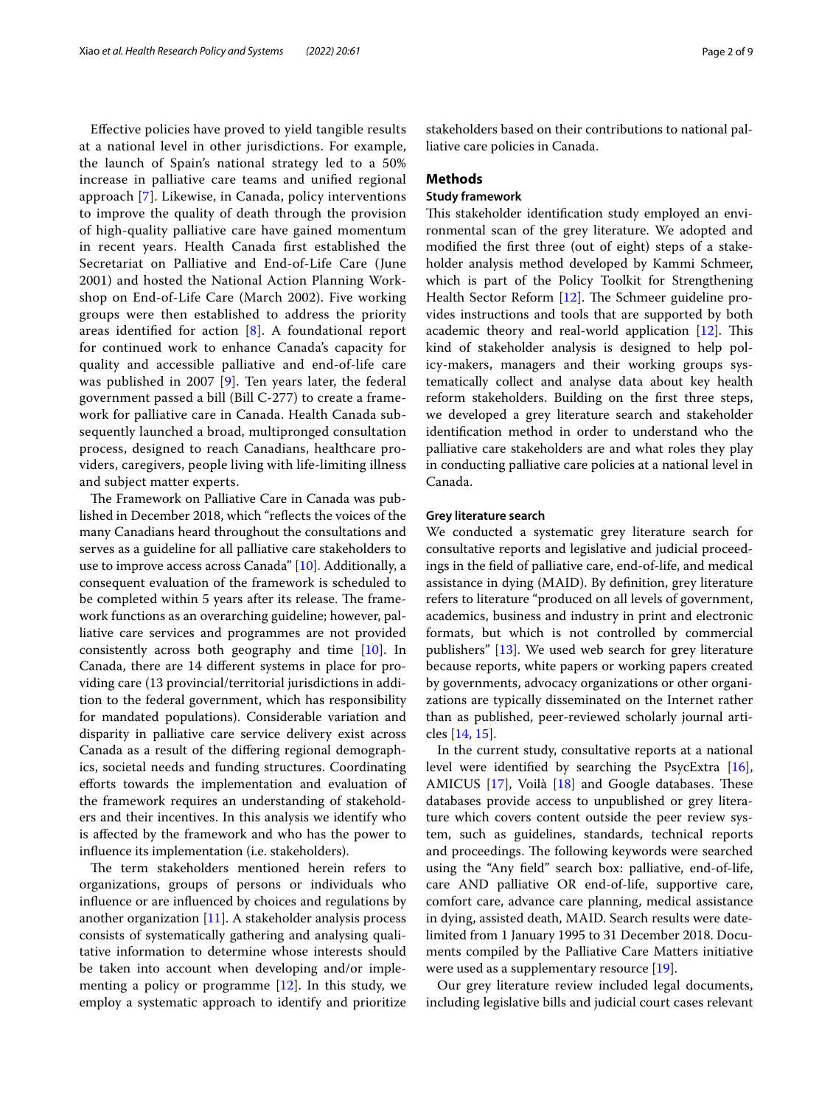Efective policies have proved to yield tangible results at a national level in other jurisdictions. For example, the launch of Spain's national strategy led to a 50% increase in palliative care teams and unifed regional approach [[7](#page-8-5)]. Likewise, in Canada, policy interventions to improve the quality of death through the provision of high-quality palliative care have gained momentum in recent years. Health Canada frst established the Secretariat on Palliative and End-of-Life Care (June 2001) and hosted the National Action Planning Workshop on End-of-Life Care (March 2002). Five working groups were then established to address the priority areas identified for action  $[8]$  $[8]$ . A foundational report for continued work to enhance Canada's capacity for quality and accessible palliative and end-of-life care was published in 2007 [[9\]](#page-8-7). Ten years later, the federal government passed a bill (Bill C-277) to create a framework for palliative care in Canada. Health Canada subsequently launched a broad, multipronged consultation process, designed to reach Canadians, healthcare providers, caregivers, people living with life-limiting illness and subject matter experts.

The Framework on Palliative Care in Canada was published in December 2018, which "refects the voices of the many Canadians heard throughout the consultations and serves as a guideline for all palliative care stakeholders to use to improve access across Canada" [\[10\]](#page-8-8). Additionally, a consequent evaluation of the framework is scheduled to be completed within 5 years after its release. The framework functions as an overarching guideline; however, palliative care services and programmes are not provided consistently across both geography and time [\[10](#page-8-8)]. In Canada, there are 14 diferent systems in place for providing care (13 provincial/territorial jurisdictions in addition to the federal government, which has responsibility for mandated populations). Considerable variation and disparity in palliative care service delivery exist across Canada as a result of the difering regional demographics, societal needs and funding structures. Coordinating eforts towards the implementation and evaluation of the framework requires an understanding of stakeholders and their incentives. In this analysis we identify who is afected by the framework and who has the power to infuence its implementation (i.e. stakeholders).

The term stakeholders mentioned herein refers to organizations, groups of persons or individuals who infuence or are infuenced by choices and regulations by another organization [\[11](#page-8-9)]. A stakeholder analysis process consists of systematically gathering and analysing qualitative information to determine whose interests should be taken into account when developing and/or implementing a policy or programme  $[12]$  $[12]$ . In this study, we employ a systematic approach to identify and prioritize stakeholders based on their contributions to national palliative care policies in Canada.

### **Methods**

# **Study framework**

This stakeholder identification study employed an environmental scan of the grey literature. We adopted and modifed the frst three (out of eight) steps of a stakeholder analysis method developed by Kammi Schmeer, which is part of the Policy Toolkit for Strengthening Health Sector Reform [[12\]](#page-8-10). The Schmeer guideline provides instructions and tools that are supported by both academic theory and real-world application  $[12]$ . This kind of stakeholder analysis is designed to help policy-makers, managers and their working groups systematically collect and analyse data about key health reform stakeholders. Building on the frst three steps, we developed a grey literature search and stakeholder identifcation method in order to understand who the palliative care stakeholders are and what roles they play in conducting palliative care policies at a national level in Canada.

### **Grey literature search**

We conducted a systematic grey literature search for consultative reports and legislative and judicial proceedings in the feld of palliative care, end-of-life, and medical assistance in dying (MAID). By defnition, grey literature refers to literature "produced on all levels of government, academics, business and industry in print and electronic formats, but which is not controlled by commercial publishers" [\[13\]](#page-8-11). We used web search for grey literature because reports, white papers or working papers created by governments, advocacy organizations or other organizations are typically disseminated on the Internet rather than as published, peer-reviewed scholarly journal articles [\[14](#page-8-12), [15\]](#page-8-13).

In the current study, consultative reports at a national level were identifed by searching the PsycExtra [\[16](#page-8-14)], AMICUS  $[17]$  $[17]$ , Voilà  $[18]$  $[18]$  $[18]$  and Google databases. These databases provide access to unpublished or grey literature which covers content outside the peer review system, such as guidelines, standards, technical reports and proceedings. The following keywords were searched using the "Any feld" search box: palliative, end-of-life, care AND palliative OR end-of-life, supportive care, comfort care, advance care planning, medical assistance in dying, assisted death, MAID. Search results were datelimited from 1 January 1995 to 31 December 2018. Documents compiled by the Palliative Care Matters initiative were used as a supplementary resource [\[19](#page-8-17)].

Our grey literature review included legal documents, including legislative bills and judicial court cases relevant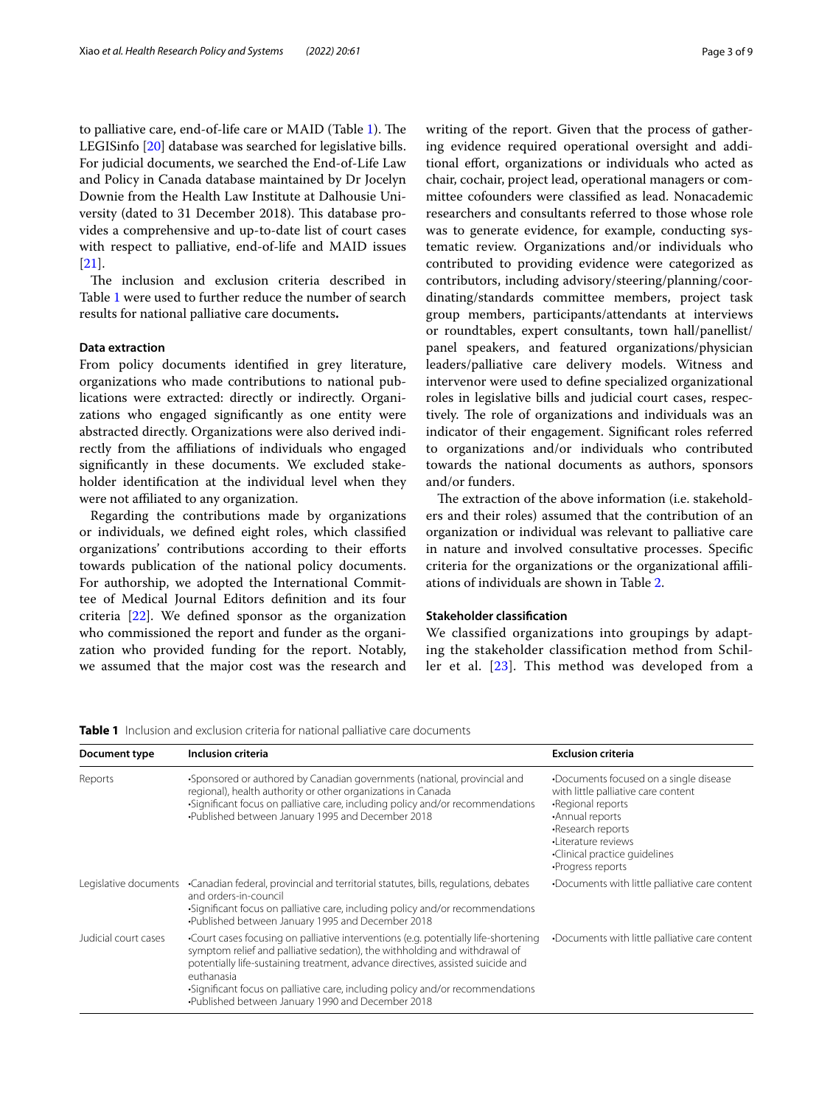to palliative care, end-of-life care or MAID (Table [1](#page-2-0)). The LEGISinfo [\[20](#page-8-18)] database was searched for legislative bills. For judicial documents, we searched the End-of-Life Law and Policy in Canada database maintained by Dr Jocelyn Downie from the Health Law Institute at Dalhousie University (dated to 31 December 2018). This database provides a comprehensive and up-to-date list of court cases with respect to palliative, end-of-life and MAID issues [[21\]](#page-8-19).

The inclusion and exclusion criteria described in Table [1](#page-2-0) were used to further reduce the number of search results for national palliative care documents**.**

#### **Data extraction**

From policy documents identifed in grey literature, organizations who made contributions to national publications were extracted: directly or indirectly. Organizations who engaged signifcantly as one entity were abstracted directly. Organizations were also derived indirectly from the affiliations of individuals who engaged signifcantly in these documents. We excluded stakeholder identifcation at the individual level when they were not affiliated to any organization.

Regarding the contributions made by organizations or individuals, we defned eight roles, which classifed organizations' contributions according to their efforts towards publication of the national policy documents. For authorship, we adopted the International Committee of Medical Journal Editors defnition and its four criteria [[22](#page-8-20)]. We defned sponsor as the organization who commissioned the report and funder as the organization who provided funding for the report. Notably, we assumed that the major cost was the research and writing of the report. Given that the process of gathering evidence required operational oversight and additional effort, organizations or individuals who acted as chair, cochair, project lead, operational managers or committee cofounders were classifed as lead. Nonacademic researchers and consultants referred to those whose role was to generate evidence, for example, conducting systematic review. Organizations and/or individuals who contributed to providing evidence were categorized as contributors, including advisory/steering/planning/coordinating/standards committee members, project task group members, participants/attendants at interviews or roundtables, expert consultants, town hall/panellist/ panel speakers, and featured organizations/physician leaders/palliative care delivery models. Witness and intervenor were used to defne specialized organizational roles in legislative bills and judicial court cases, respectively. The role of organizations and individuals was an indicator of their engagement. Signifcant roles referred to organizations and/or individuals who contributed towards the national documents as authors, sponsors and/or funders.

The extraction of the above information (i.e. stakeholders and their roles) assumed that the contribution of an organization or individual was relevant to palliative care in nature and involved consultative processes. Specifc criteria for the organizations or the organizational afliations of individuals are shown in Table [2.](#page-3-0)

# **Stakeholder classifcation**

We classified organizations into groupings by adapting the stakeholder classification method from Schiller et al. [\[23\]](#page-8-21). This method was developed from a

<span id="page-2-0"></span>**Table 1** Inclusion and exclusion criteria for national palliative care documents

| Document type        | Inclusion criteria                                                                                                                                                                                                                                                                                                                                                                                        | <b>Exclusion criteria</b>                                                                                                                                                                                                |  |
|----------------------|-----------------------------------------------------------------------------------------------------------------------------------------------------------------------------------------------------------------------------------------------------------------------------------------------------------------------------------------------------------------------------------------------------------|--------------------------------------------------------------------------------------------------------------------------------------------------------------------------------------------------------------------------|--|
| Reports              | •Sponsored or authored by Canadian governments (national, provincial and<br>regional), health authority or other organizations in Canada<br>•Significant focus on palliative care, including policy and/or recommendations<br>•Published between January 1995 and December 2018                                                                                                                           | •Documents focused on a single disease<br>with little palliative care content<br>•Regional reports<br>•Annual reports<br>•Research reports<br>·l iterature reviews<br>•Clinical practice quidelines<br>·Progress reports |  |
|                      | Legislative documents • Canadian federal, provincial and territorial statutes, bills, regulations, debates<br>and orders-in-council<br>-Significant focus on palliative care, including policy and/or recommendations<br>•Published between January 1995 and December 2018                                                                                                                                | •Documents with little palliative care content                                                                                                                                                                           |  |
| Judicial court cases | •Court cases focusing on palliative interventions (e.g. potentially life-shortening<br>symptom relief and palliative sedation), the withholding and withdrawal of<br>potentially life-sustaining treatment, advance directives, assisted suicide and<br>euthanasia<br>•Significant focus on palliative care, including policy and/or recommendations<br>•Published between January 1990 and December 2018 | Documents with little palliative care content                                                                                                                                                                            |  |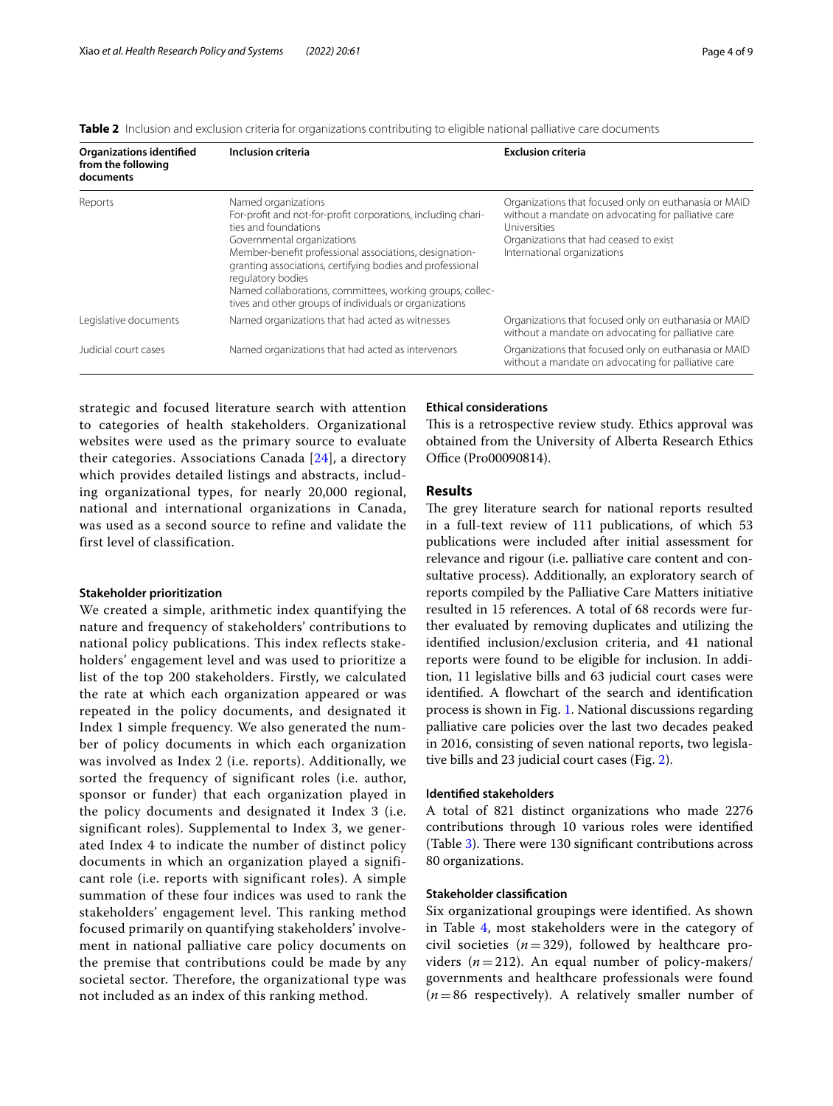<span id="page-3-0"></span>

|  |  |  | <b>Table 2</b> Inclusion and exclusion criteria for organizations contributing to eligible national palliative care documents |
|--|--|--|-------------------------------------------------------------------------------------------------------------------------------|
|  |  |  |                                                                                                                               |

| <b>Organizations identified</b><br>from the following<br>documents | Inclusion criteria                                                                                                                                                                                                                                                                                                                                                                                           | <b>Exclusion criteria</b>                                                                                                                                                                                    |
|--------------------------------------------------------------------|--------------------------------------------------------------------------------------------------------------------------------------------------------------------------------------------------------------------------------------------------------------------------------------------------------------------------------------------------------------------------------------------------------------|--------------------------------------------------------------------------------------------------------------------------------------------------------------------------------------------------------------|
| Reports                                                            | Named organizations<br>For-profit and not-for-profit corporations, including chari-<br>ties and foundations<br>Governmental organizations<br>Member-benefit professional associations, designation-<br>granting associations, certifying bodies and professional<br>regulatory bodies<br>Named collaborations, committees, working groups, collec-<br>tives and other groups of individuals or organizations | Organizations that focused only on euthanasia or MAID<br>without a mandate on advocating for palliative care<br><b>Universities</b><br>Organizations that had ceased to exist<br>International organizations |
| Legislative documents                                              | Named organizations that had acted as witnesses                                                                                                                                                                                                                                                                                                                                                              | Organizations that focused only on euthanasia or MAID<br>without a mandate on advocating for palliative care                                                                                                 |
| Judicial court cases                                               | Named organizations that had acted as intervenors                                                                                                                                                                                                                                                                                                                                                            | Organizations that focused only on euthanasia or MAID<br>without a mandate on advocating for palliative care                                                                                                 |

strategic and focused literature search with attention to categories of health stakeholders. Organizational websites were used as the primary source to evaluate their categories. Associations Canada [[24\]](#page-8-22), a directory which provides detailed listings and abstracts, including organizational types, for nearly 20,000 regional, national and international organizations in Canada, was used as a second source to refine and validate the first level of classification.

#### **Stakeholder prioritization**

We created a simple, arithmetic index quantifying the nature and frequency of stakeholders' contributions to national policy publications. This index reflects stakeholders' engagement level and was used to prioritize a list of the top 200 stakeholders. Firstly, we calculated the rate at which each organization appeared or was repeated in the policy documents, and designated it Index 1 simple frequency. We also generated the number of policy documents in which each organization was involved as Index 2 (i.e. reports). Additionally, we sorted the frequency of significant roles (i.e. author, sponsor or funder) that each organization played in the policy documents and designated it Index 3 (i.e. significant roles). Supplemental to Index 3, we generated Index 4 to indicate the number of distinct policy documents in which an organization played a significant role (i.e. reports with significant roles). A simple summation of these four indices was used to rank the stakeholders' engagement level. This ranking method focused primarily on quantifying stakeholders' involvement in national palliative care policy documents on the premise that contributions could be made by any societal sector. Therefore, the organizational type was not included as an index of this ranking method.

#### **Ethical considerations**

This is a retrospective review study. Ethics approval was obtained from the University of Alberta Research Ethics Office (Pro00090814).

# **Results**

The grey literature search for national reports resulted in a full-text review of 111 publications, of which 53 publications were included after initial assessment for relevance and rigour (i.e. palliative care content and consultative process). Additionally, an exploratory search of reports compiled by the Palliative Care Matters initiative resulted in 15 references. A total of 68 records were further evaluated by removing duplicates and utilizing the identifed inclusion/exclusion criteria, and 41 national reports were found to be eligible for inclusion. In addition, 11 legislative bills and 63 judicial court cases were identifed. A fowchart of the search and identifcation process is shown in Fig. [1](#page-4-0). National discussions regarding palliative care policies over the last two decades peaked in 2016, consisting of seven national reports, two legislative bills and 23 judicial court cases (Fig. [2\)](#page-4-1).

## **Identifed stakeholders**

A total of 821 distinct organizations who made 2276 contributions through 10 various roles were identifed (Table  $3$ ). There were 130 significant contributions across 80 organizations.

## **Stakeholder classifcation**

Six organizational groupings were identifed. As shown in Table [4,](#page-5-1) most stakeholders were in the category of civil societies  $(n=329)$ , followed by healthcare providers  $(n=212)$ . An equal number of policy-makers/ governments and healthcare professionals were found  $(n=86$  respectively). A relatively smaller number of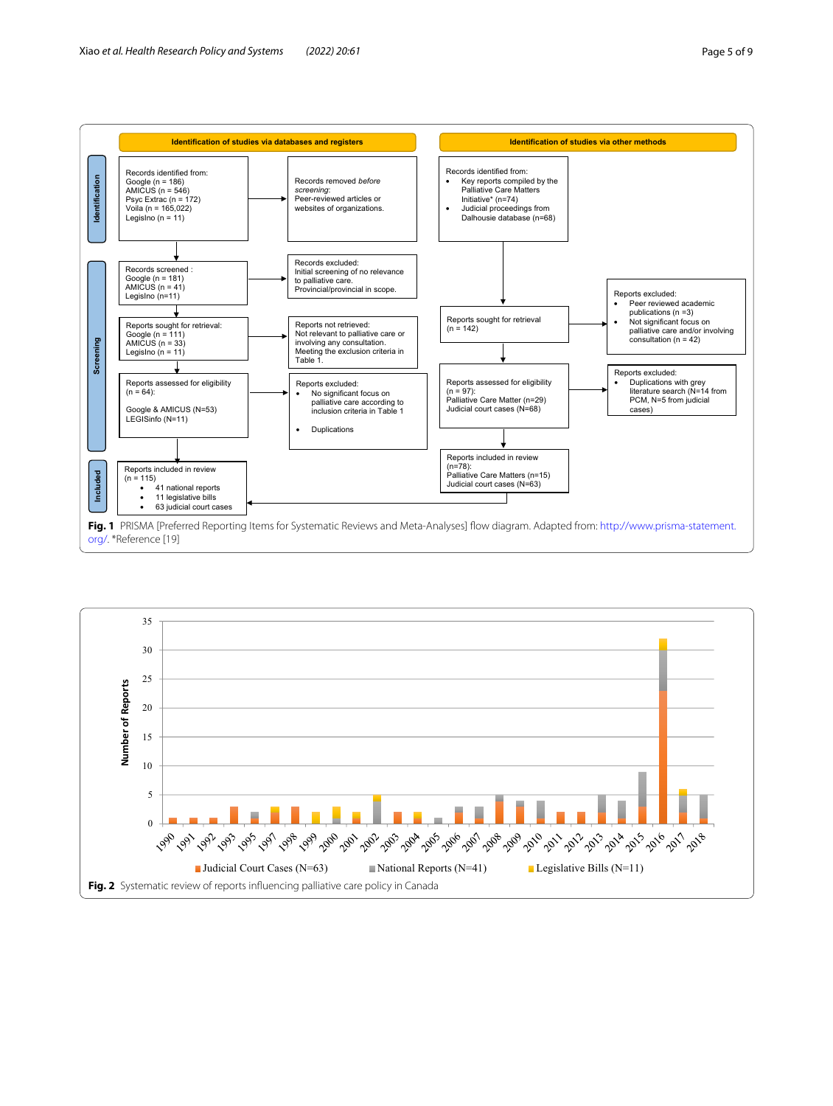

<span id="page-4-1"></span><span id="page-4-0"></span>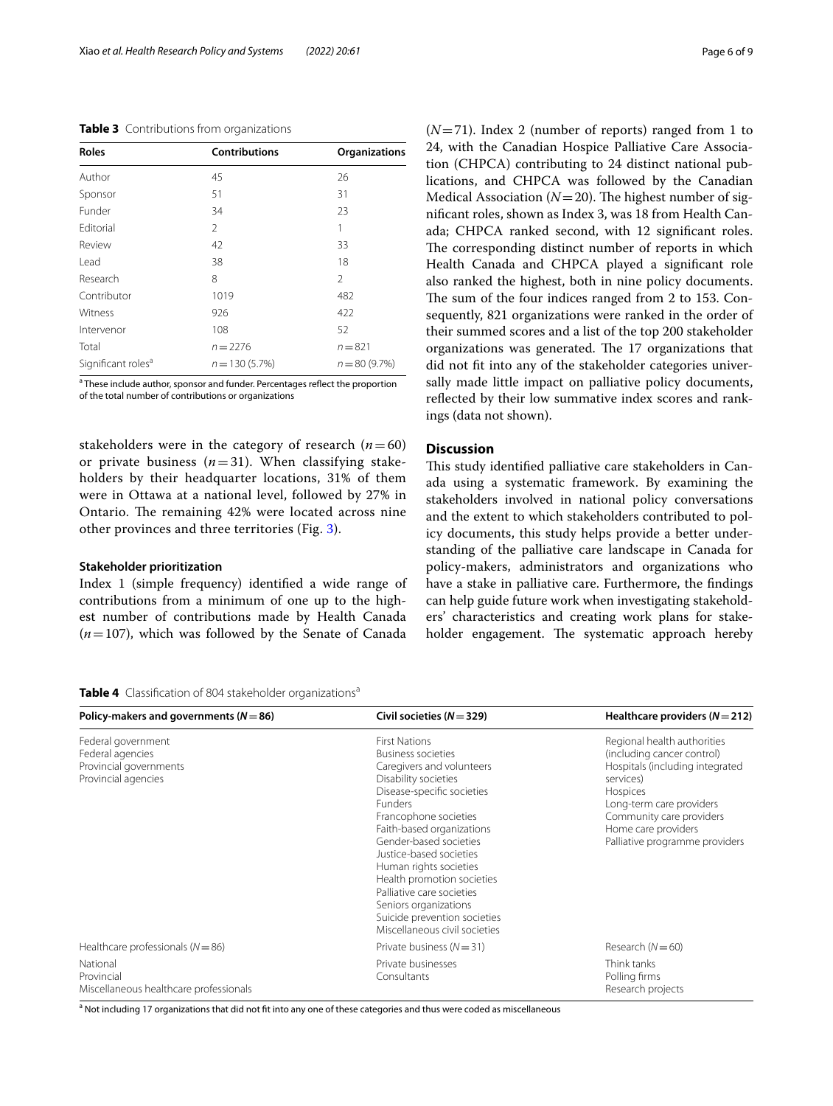#### <span id="page-5-0"></span>**Table 3** Contributions from organizations

| <b>Roles</b>                   | <b>Contributions</b> | Organizations  |  |
|--------------------------------|----------------------|----------------|--|
| Author                         | 45                   | 26             |  |
| Sponsor                        | 51                   | 31             |  |
| Funder                         | 34                   | 23             |  |
| Editorial                      | 2                    | 1              |  |
| Review                         | 42                   | 33             |  |
| Lead                           | 38                   | 18             |  |
| Research                       | 8                    | 2              |  |
| Contributor                    | 1019                 | 482            |  |
| Witness                        | 926                  | 422            |  |
| Intervenor                     | 108                  | 52             |  |
| Total                          | $n = 2276$           | $n = 821$      |  |
| Significant roles <sup>a</sup> | $n = 130(5.7%)$      | $n = 80(9.7%)$ |  |

<sup>a</sup> These include author, sponsor and funder. Percentages reflect the proportion of the total number of contributions or organizations

stakeholders were in the category of research  $(n=60)$ or private business  $(n=31)$ . When classifying stakeholders by their headquarter locations, 31% of them were in Ottawa at a national level, followed by 27% in Ontario. The remaining 42% were located across nine other provinces and three territories (Fig. [3\)](#page-6-0).

#### **Stakeholder prioritization**

Index 1 (simple frequency) identifed a wide range of contributions from a minimum of one up to the highest number of contributions made by Health Canada  $(n=107)$ , which was followed by the Senate of Canada  $(N=71)$ . Index 2 (number of reports) ranged from 1 to 24, with the Canadian Hospice Palliative Care Association (CHPCA) contributing to 24 distinct national publications, and CHPCA was followed by the Canadian Medical Association ( $N=20$ ). The highest number of signifcant roles, shown as Index 3, was 18 from Health Canada; CHPCA ranked second, with 12 signifcant roles. The corresponding distinct number of reports in which Health Canada and CHPCA played a signifcant role also ranked the highest, both in nine policy documents. The sum of the four indices ranged from 2 to 153. Consequently, 821 organizations were ranked in the order of their summed scores and a list of the top 200 stakeholder organizations was generated. The 17 organizations that did not fit into any of the stakeholder categories universally made little impact on palliative policy documents, reflected by their low summative index scores and rankings (data not shown).

## **Discussion**

This study identified palliative care stakeholders in Canada using a systematic framework. By examining the stakeholders involved in national policy conversations and the extent to which stakeholders contributed to policy documents, this study helps provide a better understanding of the palliative care landscape in Canada for policy-makers, administrators and organizations who have a stake in palliative care. Furthermore, the fndings can help guide future work when investigating stakeholders' characteristics and creating work plans for stakeholder engagement. The systematic approach hereby

### <span id="page-5-1"></span>**Table 4** Classification of 804 stakeholder organizations<sup>a</sup>

| Policy-makers and governments ( $N = 86$ )                                              | Civil societies ( $N = 329$ )                                                                                                                                                                                                                                                                                                                                                                                                                    | Healthcare providers ( $N = 212$ )                                                                                                                                                                                                     |
|-----------------------------------------------------------------------------------------|--------------------------------------------------------------------------------------------------------------------------------------------------------------------------------------------------------------------------------------------------------------------------------------------------------------------------------------------------------------------------------------------------------------------------------------------------|----------------------------------------------------------------------------------------------------------------------------------------------------------------------------------------------------------------------------------------|
| Federal government<br>Federal agencies<br>Provincial governments<br>Provincial agencies | <b>First Nations</b><br><b>Business societies</b><br>Caregivers and volunteers<br>Disability societies<br>Disease-specific societies<br><b>Funders</b><br>Francophone societies<br>Faith-based organizations<br>Gender-based societies<br>Justice-based societies<br>Human rights societies<br>Health promotion societies<br>Palliative care societies<br>Seniors organizations<br>Suicide prevention societies<br>Miscellaneous civil societies | Regional health authorities<br>(including cancer control)<br>Hospitals (including integrated<br>services)<br>Hospices<br>Long-term care providers<br>Community care providers<br>Home care providers<br>Palliative programme providers |
| Healthcare professionals ( $N = 86$ )                                                   | Private business $(N = 31)$                                                                                                                                                                                                                                                                                                                                                                                                                      | Research $(N=60)$                                                                                                                                                                                                                      |
| National<br>Provincial<br>Miscellaneous healthcare professionals                        | Private businesses<br>Consultants                                                                                                                                                                                                                                                                                                                                                                                                                | Think tanks<br>Polling firms<br>Research projects                                                                                                                                                                                      |

<sup>a</sup> Not including 17 organizations that did not fit into any one of these categories and thus were coded as miscellaneous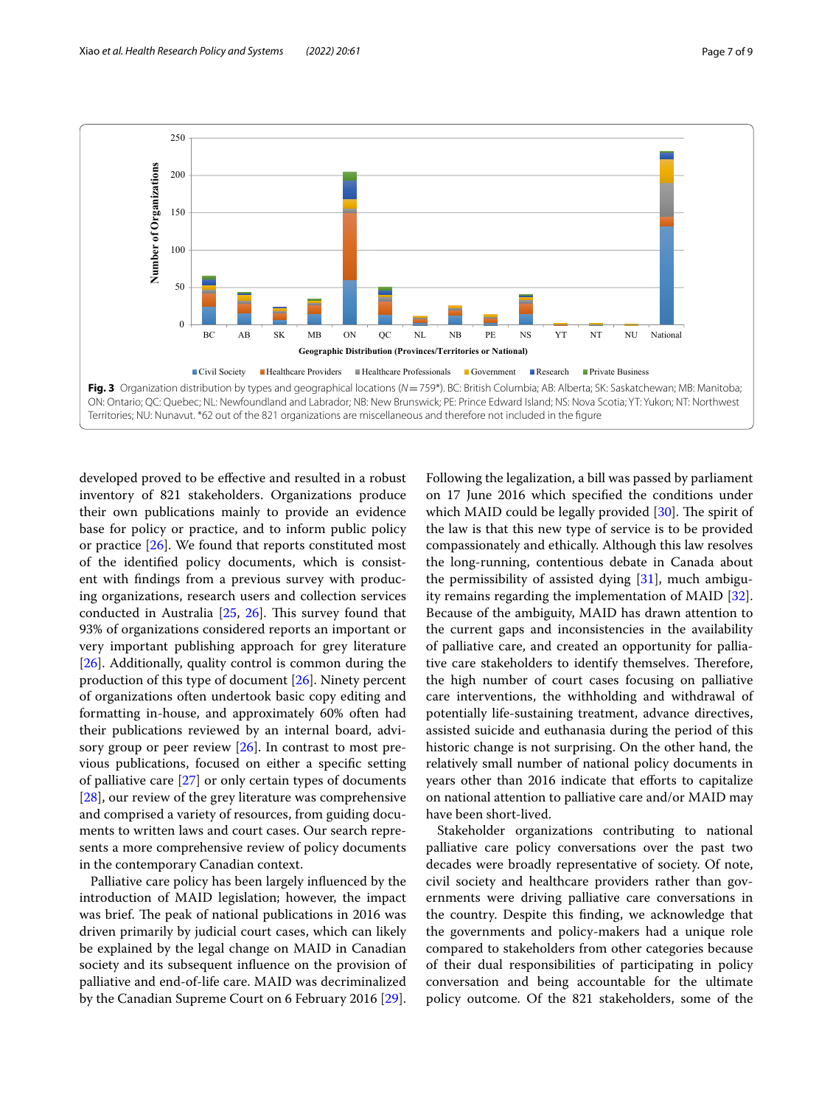

<span id="page-6-0"></span>developed proved to be efective and resulted in a robust inventory of 821 stakeholders. Organizations produce their own publications mainly to provide an evidence base for policy or practice, and to inform public policy or practice  $[26]$  $[26]$ . We found that reports constituted most of the identifed policy documents, which is consistent with fndings from a previous survey with producing organizations, research users and collection services conducted in Australia  $[25, 26]$  $[25, 26]$  $[25, 26]$  $[25, 26]$  $[25, 26]$ . This survey found that 93% of organizations considered reports an important or very important publishing approach for grey literature [[26\]](#page-8-23). Additionally, quality control is common during the production of this type of document [\[26](#page-8-23)]. Ninety percent of organizations often undertook basic copy editing and formatting in-house, and approximately 60% often had their publications reviewed by an internal board, advisory group or peer review  $[26]$  $[26]$  $[26]$ . In contrast to most previous publications, focused on either a specifc setting of palliative care [\[27](#page-8-25)] or only certain types of documents [[28\]](#page-8-26), our review of the grey literature was comprehensive and comprised a variety of resources, from guiding documents to written laws and court cases. Our search represents a more comprehensive review of policy documents in the contemporary Canadian context.

Palliative care policy has been largely infuenced by the introduction of MAID legislation; however, the impact was brief. The peak of national publications in 2016 was driven primarily by judicial court cases, which can likely be explained by the legal change on MAID in Canadian society and its subsequent infuence on the provision of palliative and end-of-life care. MAID was decriminalized by the Canadian Supreme Court on 6 February 2016 [\[29](#page-8-27)].

Following the legalization, a bill was passed by parliament on 17 June 2016 which specifed the conditions under which MAID could be legally provided  $[30]$  $[30]$ . The spirit of the law is that this new type of service is to be provided compassionately and ethically. Although this law resolves the long-running, contentious debate in Canada about the permissibility of assisted dying  $[31]$ , much ambiguity remains regarding the implementation of MAID [\[32](#page-8-30)]. Because of the ambiguity, MAID has drawn attention to the current gaps and inconsistencies in the availability of palliative care, and created an opportunity for palliative care stakeholders to identify themselves. Therefore, the high number of court cases focusing on palliative care interventions, the withholding and withdrawal of potentially life-sustaining treatment, advance directives, assisted suicide and euthanasia during the period of this historic change is not surprising. On the other hand, the relatively small number of national policy documents in years other than 2016 indicate that efforts to capitalize on national attention to palliative care and/or MAID may have been short-lived.

Stakeholder organizations contributing to national palliative care policy conversations over the past two decades were broadly representative of society. Of note, civil society and healthcare providers rather than governments were driving palliative care conversations in the country. Despite this fnding, we acknowledge that the governments and policy-makers had a unique role compared to stakeholders from other categories because of their dual responsibilities of participating in policy conversation and being accountable for the ultimate policy outcome. Of the 821 stakeholders, some of the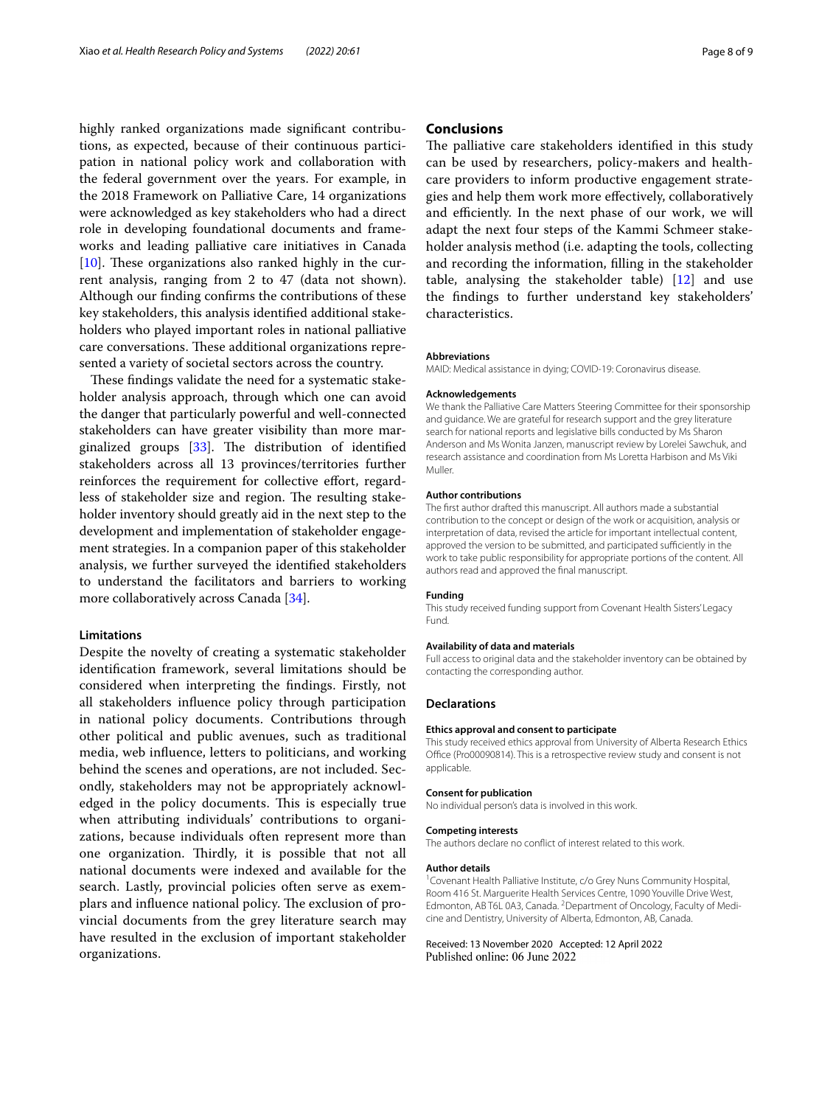highly ranked organizations made signifcant contributions, as expected, because of their continuous participation in national policy work and collaboration with the federal government over the years. For example, in the 2018 Framework on Palliative Care, 14 organizations were acknowledged as key stakeholders who had a direct role in developing foundational documents and frameworks and leading palliative care initiatives in Canada [ $10$ ]. These organizations also ranked highly in the current analysis, ranging from 2 to 47 (data not shown). Although our fnding confrms the contributions of these key stakeholders, this analysis identifed additional stakeholders who played important roles in national palliative care conversations. These additional organizations represented a variety of societal sectors across the country.

These findings validate the need for a systematic stakeholder analysis approach, through which one can avoid the danger that particularly powerful and well-connected stakeholders can have greater visibility than more marginalized groups  $[33]$ . The distribution of identified stakeholders across all 13 provinces/territories further reinforces the requirement for collective efort, regardless of stakeholder size and region. The resulting stakeholder inventory should greatly aid in the next step to the development and implementation of stakeholder engagement strategies. In a companion paper of this stakeholder analysis, we further surveyed the identifed stakeholders to understand the facilitators and barriers to working more collaboratively across Canada [[34](#page-8-32)].

#### **Limitations**

Despite the novelty of creating a systematic stakeholder identifcation framework, several limitations should be considered when interpreting the fndings. Firstly, not all stakeholders infuence policy through participation in national policy documents. Contributions through other political and public avenues, such as traditional media, web infuence, letters to politicians, and working behind the scenes and operations, are not included. Secondly, stakeholders may not be appropriately acknowledged in the policy documents. This is especially true when attributing individuals' contributions to organizations, because individuals often represent more than one organization. Thirdly, it is possible that not all national documents were indexed and available for the search. Lastly, provincial policies often serve as exemplars and influence national policy. The exclusion of provincial documents from the grey literature search may have resulted in the exclusion of important stakeholder organizations.

### **Conclusions**

The palliative care stakeholders identified in this study can be used by researchers, policy-makers and healthcare providers to inform productive engagement strategies and help them work more efectively, collaboratively and efficiently. In the next phase of our work, we will adapt the next four steps of the Kammi Schmeer stakeholder analysis method (i.e. adapting the tools, collecting and recording the information, flling in the stakeholder table, analysing the stakeholder table) [[12\]](#page-8-10) and use the fndings to further understand key stakeholders' characteristics.

#### **Abbreviations**

MAID: Medical assistance in dying; COVID-19: Coronavirus disease.

#### **Acknowledgements**

We thank the Palliative Care Matters Steering Committee for their sponsorship and guidance. We are grateful for research support and the grey literature search for national reports and legislative bills conducted by Ms Sharon Anderson and Ms Wonita Janzen, manuscript review by Lorelei Sawchuk, and research assistance and coordination from Ms Loretta Harbison and Ms Viki Muller.

#### **Author contributions**

The frst author drafted this manuscript. All authors made a substantial contribution to the concept or design of the work or acquisition, analysis or interpretation of data, revised the article for important intellectual content, approved the version to be submitted, and participated sufficiently in the work to take public responsibility for appropriate portions of the content. All authors read and approved the fnal manuscript.

#### **Funding**

This study received funding support from Covenant Health Sisters' Legacy Fund.

#### **Availability of data and materials**

Full access to original data and the stakeholder inventory can be obtained by contacting the corresponding author.

#### **Declarations**

#### **Ethics approval and consent to participate**

This study received ethics approval from University of Alberta Research Ethics Office (Pro00090814). This is a retrospective review study and consent is not applicable.

#### **Consent for publication**

No individual person's data is involved in this work.

#### **Competing interests**

The authors declare no confict of interest related to this work.

#### **Author details**

<sup>1</sup> Covenant Health Palliative Institute, c/o Grey Nuns Community Hospital, Room 416 St. Marguerite Health Services Centre, 1090 Youville Drive West, Edmonton, AB T6L 0A3, Canada. <sup>2</sup> Department of Oncology, Faculty of Medicine and Dentistry, University of Alberta, Edmonton, AB, Canada.

Received: 13 November 2020 Accepted: 12 April 2022Published online: 06 June 2022